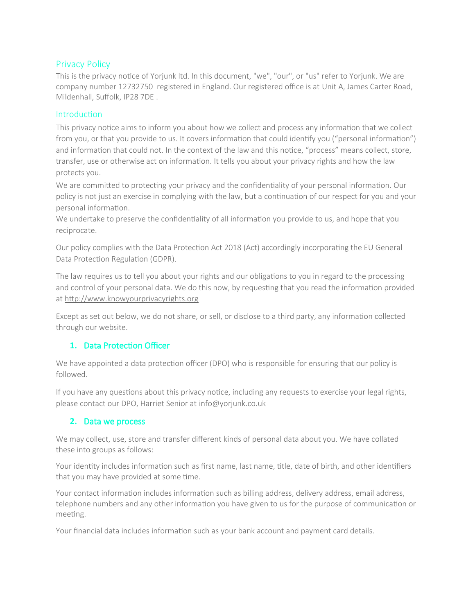# Privacy Policy

This is the privacy notice of Yorjunk ltd. In this document, "we", "our", or "us" refer to Yorjunk. We are company number 12732750 registered in England. Our registered office is at Unit A, James Carter Road, Mildenhall, Suffolk, IP28 7DE .

#### **Introduction**

This privacy notice aims to inform you about how we collect and process any information that we collect from you, or that you provide to us. It covers information that could identify you ("personal information") and information that could not. In the context of the law and this notice, "process" means collect, store, transfer, use or otherwise act on information. It tells you about your privacy rights and how the law protects you.

We are committed to protecting your privacy and the confidentiality of your personal information. Our policy is not just an exercise in complying with the law, but a continuation of our respect for you and your personal information.

We undertake to preserve the confidentiality of all information you provide to us, and hope that you reciprocate.

Our policy complies with the Data Protection Act 2018 (Act) accordingly incorporating the EU General Data Protection Regulation (GDPR).

The law requires us to tell you about your rights and our obligations to you in regard to the processing and control of your personal data. We do this now, by requesting that you read the information provided at [http://www.knowyourprivacyrights.org](http://www.knowyourprivacyrights.org/)

Except as set out below, we do not share, or sell, or disclose to a third party, any information collected through our website.

### **1.** Data Protection Officer

We have appointed a data protection officer (DPO) who is responsible for ensuring that our policy is followed.

If you have any questions about this privacy notice, including any requests to exercise your legal rights, please contact our DPO, Harriet Senior at [info@yorjunk.co.uk](mailto:info@yorjunk.co.uk)

### **2.** Data we process

We may collect, use, store and transfer different kinds of personal data about you. We have collated these into groups as follows:

Your identity includes information such as first name, last name, title, date of birth, and other identifiers that you may have provided at some time.

Your contact information includes information such as billing address, delivery address, email address, telephone numbers and any other information you have given to us for the purpose of communication or meeting.

Your financial data includes information such as your bank account and payment card details.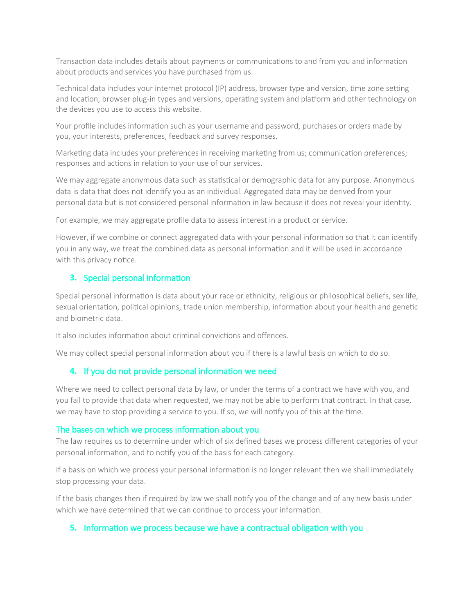Transaction data includes details about payments or communications to and from you and information about products and services you have purchased from us.

Technical data includes your internet protocol (IP) address, browser type and version, time zone setting and location, browser plug-in types and versions, operating system and platform and other technology on the devices you use to access this website.

Your profile includes information such as your username and password, purchases or orders made by you, your interests, preferences, feedback and survey responses.

Marketing data includes your preferences in receiving marketing from us; communication preferences; responses and actions in relation to your use of our services.

We may aggregate anonymous data such as statistical or demographic data for any purpose. Anonymous data is data that does not identify you as an individual. Aggregated data may be derived from your personal data but is not considered personal information in law because it does not reveal your identity.

For example, we may aggregate profile data to assess interest in a product or service.

However, if we combine or connect aggregated data with your personal information so that it can identify you in any way, we treat the combined data as personal information and it will be used in accordance with this privacy notice.

#### **3.** Special personal information

Special personal information is data about your race or ethnicity, religious or philosophical beliefs, sex life, sexual orientation, political opinions, trade union membership, information about your health and genetic and biometric data.

It also includes information about criminal convictions and offences.

We may collect special personal information about you if there is a lawful basis on which to do so.

#### **4.** If you do not provide personal information we need

Where we need to collect personal data by law, or under the terms of a contract we have with you, and you fail to provide that data when requested, we may not be able to perform that contract. In that case, we may have to stop providing a service to you. If so, we will notify you of this at the time.

#### The bases on which we process information about you

The law requires us to determine under which of six defined bases we process different categories of your personal information, and to notify you of the basis for each category.

If a basis on which we process your personal information is no longer relevant then we shall immediately stop processing your data.

If the basis changes then if required by law we shall notify you of the change and of any new basis under which we have determined that we can continue to process your information.

#### **5.** Information we process because we have a contractual obligation with you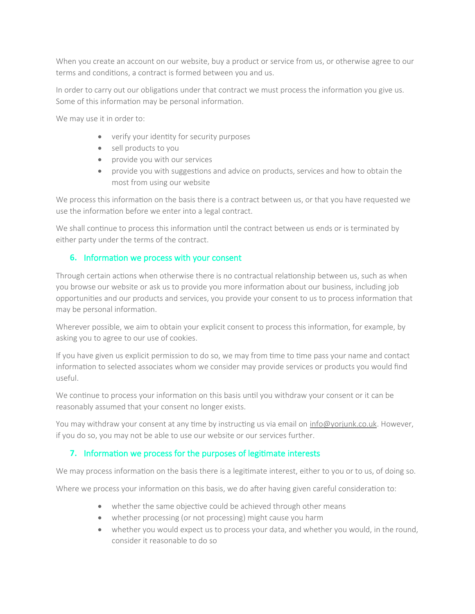When you create an account on our website, buy a product or service from us, or otherwise agree to our terms and conditions, a contract is formed between you and us.

In order to carry out our obligations under that contract we must process the information you give us. Some of this information may be personal information.

We may use it in order to:

- verify your identity for security purposes
- sell products to you
- provide you with our services
- provide you with suggestions and advice on products, services and how to obtain the most from using our website

We process this information on the basis there is a contract between us, or that you have requested we use the information before we enter into a legal contract.

We shall continue to process this information until the contract between us ends or is terminated by either party under the terms of the contract.

## **6.** Information we process with your consent

Through certain actions when otherwise there is no contractual relationship between us, such as when you browse our website or ask us to provide you more information about our business, including job opportunities and our products and services, you provide your consent to us to process information that may be personal information.

Wherever possible, we aim to obtain your explicit consent to process this information, for example, by asking you to agree to our use of cookies.

If you have given us explicit permission to do so, we may from time to time pass your name and contact information to selected associates whom we consider may provide services or products you would find useful.

We continue to process your information on this basis until you withdraw your consent or it can be reasonably assumed that your consent no longer exists.

You may withdraw your consent at any time by instructing us via email on [info@yorjunk.co.uk](mailto:info@yorjunk.co.uk). However, if you do so, you may not be able to use our website or our services further.

# **7.** Information we process for the purposes of legitimate interests

We may process information on the basis there is a legitimate interest, either to you or to us, of doing so.

Where we process your information on this basis, we do after having given careful consideration to:

- whether the same objective could be achieved through other means
- whether processing (or not processing) might cause you harm
- whether you would expect us to process your data, and whether you would, in the round, consider it reasonable to do so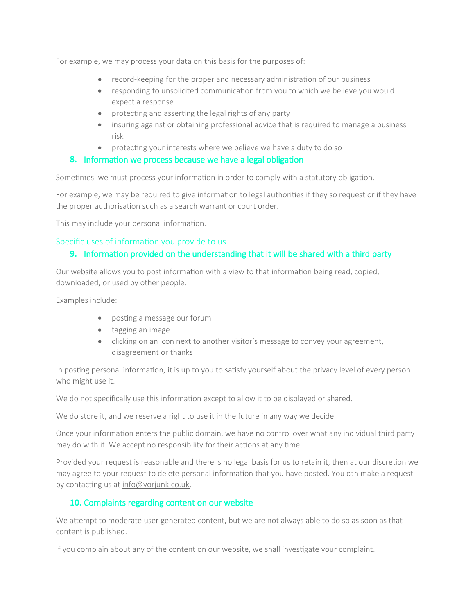For example, we may process your data on this basis for the purposes of:

- record-keeping for the proper and necessary administration of our business
- responding to unsolicited communication from you to which we believe you would expect a response
- protecting and asserting the legal rights of any party
- insuring against or obtaining professional advice that is required to manage a business risk
- protecting your interests where we believe we have a duty to do so

### **8.** Information we process because we have a legal obligation

Sometimes, we must process your information in order to comply with a statutory obligation.

For example, we may be required to give information to legal authorities if they so request or if they have the proper authorisation such as a search warrant or court order.

This may include your personal information.

### Specific uses of information you provide to us

## **9.** Information provided on the understanding that it will be shared with a third party

Our website allows you to post information with a view to that information being read, copied, downloaded, or used by other people.

Examples include:

- posting a message our forum
- tagging an image
- clicking on an icon next to another visitor's message to convey your agreement, disagreement or thanks

In posting personal information, it is up to you to satisfy yourself about the privacy level of every person who might use it.

We do not specifically use this information except to allow it to be displayed or shared.

We do store it, and we reserve a right to use it in the future in any way we decide.

Once your information enters the public domain, we have no control over what any individual third party may do with it. We accept no responsibility for their actions at any time.

Provided your request is reasonable and there is no legal basis for us to retain it, then at our discretion we may agree to your request to delete personal information that you have posted. You can make a request by contacting us at [info@yorjunk.co.uk](mailto:info@yorjunk.co.uk).

### **10.** Complaints regarding content on our website

We attempt to moderate user generated content, but we are not always able to do so as soon as that content is published.

If you complain about any of the content on our website, we shall investigate your complaint.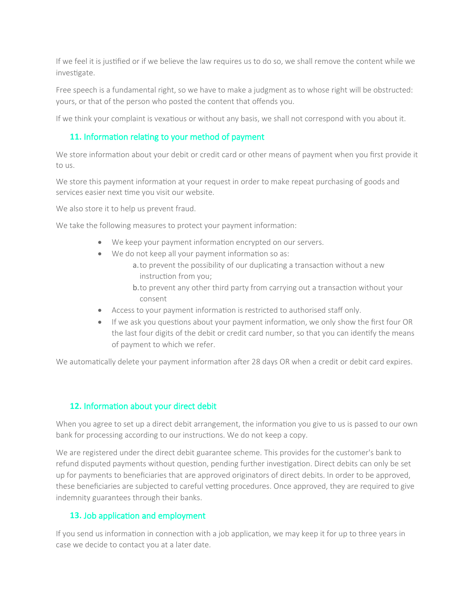If we feel it is justified or if we believe the law requires us to do so, we shall remove the content while we investigate.

Free speech is a fundamental right, so we have to make a judgment as to whose right will be obstructed: yours, or that of the person who posted the content that offends you.

If we think your complaint is vexatious or without any basis, we shall not correspond with you about it.

# **11.** Information relating to your method of payment

We store information about your debit or credit card or other means of payment when you first provide it to us.

We store this payment information at your request in order to make repeat purchasing of goods and services easier next time you visit our website.

We also store it to help us prevent fraud.

We take the following measures to protect your payment information:

- We keep your payment information encrypted on our servers.
- We do not keep all your payment information so as:
	- a.to prevent the possibility of our duplicating a transaction without a new instruction from you;
	- b.to prevent any other third party from carrying out a transaction without your consent
- Access to your payment information is restricted to authorised staff only.
- If we ask you questions about your payment information, we only show the first four OR the last four digits of the debit or credit card number, so that you can identify the means of payment to which we refer.

We automatically delete your payment information after 28 days OR when a credit or debit card expires.

# **12.** Information about your direct debit

When you agree to set up a direct debit arrangement, the information you give to us is passed to our own bank for processing according to our instructions. We do not keep a copy.

We are registered under the direct debit guarantee scheme. This provides for the customer's bank to refund disputed payments without question, pending further investigation. Direct debits can only be set up for payments to beneficiaries that are approved originators of direct debits. In order to be approved, these beneficiaries are subjected to careful vetting procedures. Once approved, they are required to give indemnity guarantees through their banks.

### **13.** Job application and employment

If you send us information in connection with a job application, we may keep it for up to three years in case we decide to contact you at a later date.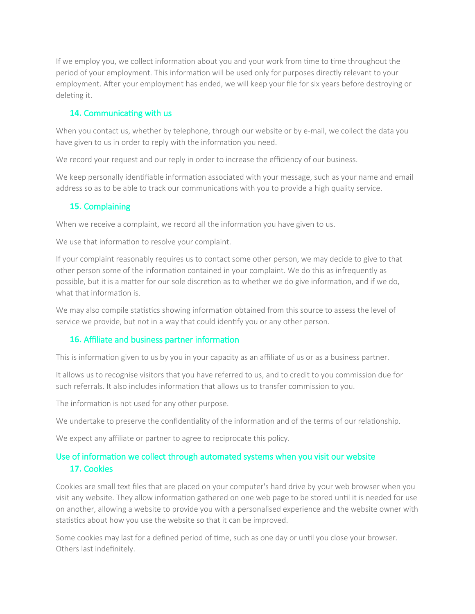If we employ you, we collect information about you and your work from time to time throughout the period of your employment. This information will be used only for purposes directly relevant to your employment. After your employment has ended, we will keep your file for six years before destroying or deleting it.

### **14.** Communicating with us

When you contact us, whether by telephone, through our website or by e-mail, we collect the data you have given to us in order to reply with the information you need.

We record your request and our reply in order to increase the efficiency of our business.

We keep personally identifiable information associated with your message, such as your name and email address so as to be able to track our communications with you to provide a high quality service.

# **15.** Complaining

When we receive a complaint, we record all the information you have given to us.

We use that information to resolve your complaint.

If your complaint reasonably requires us to contact some other person, we may decide to give to that other person some of the information contained in your complaint. We do this as infrequently as possible, but it is a matter for our sole discretion as to whether we do give information, and if we do, what that information is

We may also compile statistics showing information obtained from this source to assess the level of service we provide, but not in a way that could identify you or any other person.

### **16.** Affiliate and business partner information

This is information given to us by you in your capacity as an affiliate of us or as a business partner.

It allows us to recognise visitors that you have referred to us, and to credit to you commission due for such referrals. It also includes information that allows us to transfer commission to you.

The information is not used for any other purpose.

We undertake to preserve the confidentiality of the information and of the terms of our relationship.

We expect any affiliate or partner to agree to reciprocate this policy.

# Use of information we collect through automated systems when you visit our website **17.** Cookies

Cookies are small text files that are placed on your computer's hard drive by your web browser when you visit any website. They allow information gathered on one web page to be stored until it is needed for use on another, allowing a website to provide you with a personalised experience and the website owner with statistics about how you use the website so that it can be improved.

Some cookies may last for a defined period of time, such as one day or until you close your browser. Others last indefinitely.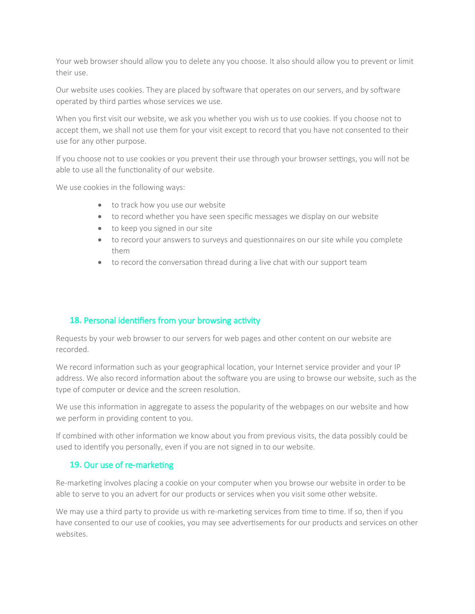Your web browser should allow you to delete any you choose. It also should allow you to prevent or limit their use.

Our website uses cookies. They are placed by software that operates on our servers, and by software operated by third parties whose services we use.

When you first visit our website, we ask you whether you wish us to use cookies. If you choose not to accept them, we shall not use them for your visit except to record that you have not consented to their use for any other purpose.

If you choose not to use cookies or you prevent their use through your browser settings, you will not be able to use all the functionality of our website.

We use cookies in the following ways:

- to track how you use our website
- to record whether you have seen specific messages we display on our website
- to keep you signed in our site
- to record your answers to surveys and questionnaires on our site while you complete them
- to record the conversation thread during a live chat with our support team

### **18.** Personal identifiers from your browsing activity

Requests by your web browser to our servers for web pages and other content on our website are recorded.

We record information such as your geographical location, your Internet service provider and your IP address. We also record information about the software you are using to browse our website, such as the type of computer or device and the screen resolution.

We use this information in aggregate to assess the popularity of the webpages on our website and how we perform in providing content to you.

If combined with other information we know about you from previous visits, the data possibly could be used to identify you personally, even if you are not signed in to our website.

#### **19.** Our use of re-marketing

Re-marketing involves placing a cookie on your computer when you browse our website in order to be able to serve to you an advert for our products or services when you visit some other website.

We may use a third party to provide us with re-marketing services from time to time. If so, then if you have consented to our use of cookies, you may see advertisements for our products and services on other websites.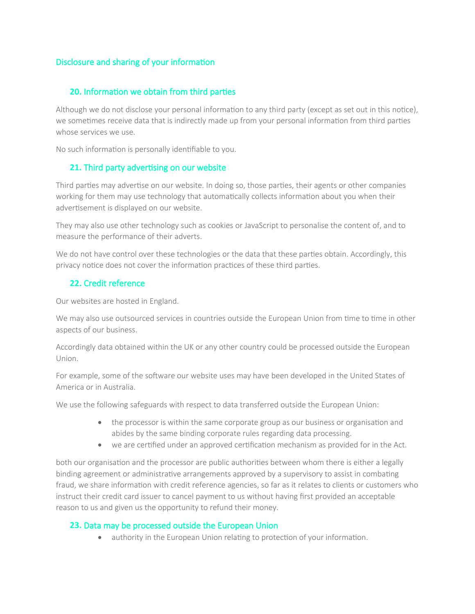# Disclosure and sharing of your information

## **20.** Information we obtain from third parties

Although we do not disclose your personal information to any third party (except as set out in this notice), we sometimes receive data that is indirectly made up from your personal information from third parties whose services we use.

No such information is personally identifiable to you.

## **21.** Third party advertising on our website

Third parties may advertise on our website. In doing so, those parties, their agents or other companies working for them may use technology that automatically collects information about you when their advertisement is displayed on our website.

They may also use other technology such as cookies or JavaScript to personalise the content of, and to measure the performance of their adverts.

We do not have control over these technologies or the data that these parties obtain. Accordingly, this privacy notice does not cover the information practices of these third parties.

# **22.** Credit reference

Our websites are hosted in England.

We may also use outsourced services in countries outside the European Union from time to time in other aspects of our business.

Accordingly data obtained within the UK or any other country could be processed outside the European Union.

For example, some of the software our website uses may have been developed in the United States of America or in Australia.

We use the following safeguards with respect to data transferred outside the European Union:

- the processor is within the same corporate group as our business or organisation and abides by the same binding corporate rules regarding data processing.
- we are certified under an approved certification mechanism as provided for in the Act.

both our organisation and the processor are public authorities between whom there is either a legally binding agreement or administrative arrangements approved by a supervisory to assist in combating fraud, we share information with credit reference agencies, so far as it relates to clients or customers who instruct their credit card issuer to cancel payment to us without having first provided an acceptable reason to us and given us the opportunity to refund their money.

### **23.** Data may be processed outside the European Union

authority in the European Union relating to protection of your information.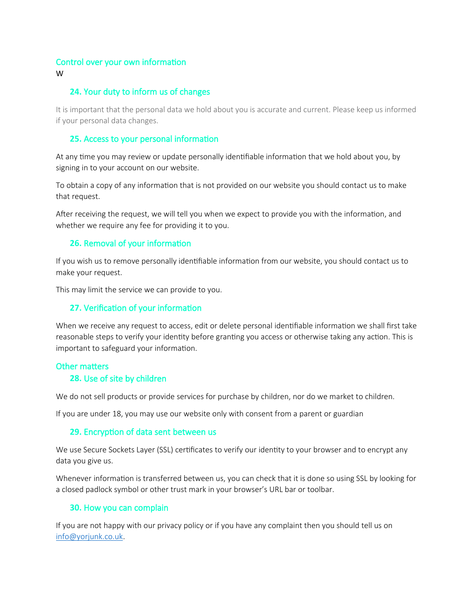#### Control over your own information

W

### **24.** Your duty to inform us of changes

It is important that the personal data we hold about you is accurate and current. Please keep us informed if your personal data changes.

### **25.** Access to your personal information

At any time you may review or update personally identifiable information that we hold about you, by signing in to your account on our website.

To obtain a copy of any information that is not provided on our website you should contact us to make that request.

After receiving the request, we will tell you when we expect to provide you with the information, and whether we require any fee for providing it to you.

## **26.** Removal of your information

If you wish us to remove personally identifiable information from our website, you should contact us to make your request.

This may limit the service we can provide to you.

### **27.** Verification of your information

When we receive any request to access, edit or delete personal identifiable information we shall first take reasonable steps to verify your identity before granting you access or otherwise taking any action. This is important to safeguard your information.

### Other matters

#### **28.** Use of site by children

We do not sell products or provide services for purchase by children, nor do we market to children.

If you are under 18, you may use our website only with consent from a parent or guardian

#### **29.** Encryption of data sent between us

We use Secure Sockets Layer (SSL) certificates to verify our identity to your browser and to encrypt any data you give us.

Whenever information is transferred between us, you can check that it is done so using SSL by looking for a closed padlock symbol or other trust mark in your browser's URL bar or toolbar.

### **30.** How you can complain

If you are not happy with our privacy policy or if you have any complaint then you should tell us on [info@yorjunk.co.uk.](mailto:info@yorjunk.co.uk)